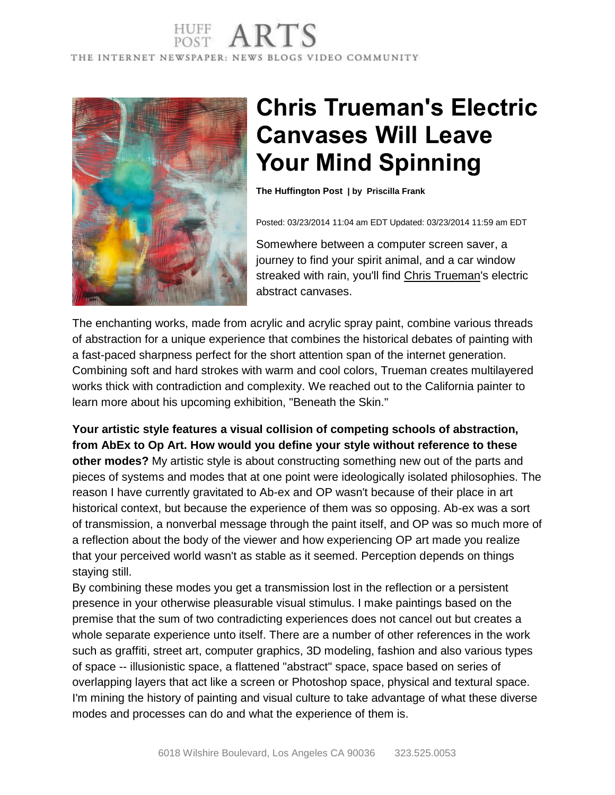## THE INTERNET NEWSPAPER: NEWS BLOGS VIDEO COMMUNITY



## **Chris Trueman's Electric Canvases Will Leave Your Mind Spinning**

**The Huffington Post | by [Priscilla](http://www.huffingtonpost.com/priscilla-frank) Frank**

Posted: 03/23/2014 11:04 am EDT Updated: 03/23/2014 11:59 am EDT

Somewhere between a computer screen saver, a journey to find your spirit animal, and a car window streaked with rain, you'll find Chris [Trueman's](http://www.christrueman.com/) electric abstract canvases.

The enchanting works, made from acrylic and acrylic spray paint, combine various threads of abstraction for a unique experience that combines the historical debates of painting with a fast-paced sharpness perfect for the short attention span of the internet generation. Combining soft and hard strokes with warm and cool colors, Trueman creates multilayered works thick with contradiction and complexity. We reached out to the California painter to learn more about his upcoming exhibition, "Beneath the Skin."

**Your artistic style features a visual collision of competing schools of abstraction, from AbEx to Op Art. How would you define your style without reference to these other modes?** My artistic style is about constructing something new out of the parts and pieces of systems and modes that at one point were ideologically isolated philosophies. The reason I have currently gravitated to Ab-ex and OP wasn't because of their place in art historical context, but because the experience of them was so opposing. Ab-ex was a sort of transmission, a nonverbal message through the paint itself, and OP was so much more of a reflection about the body of the viewer and how experiencing OP art made you realize that your perceived world wasn't as stable as it seemed. Perception depends on things staying still.

By combining these modes you get a transmission lost in the reflection or a persistent presence in your otherwise pleasurable visual stimulus. I make paintings based on the premise that the sum of two contradicting experiences does not cancel out but creates a whole separate experience unto itself. There are a number of other references in the work such as graffiti, street art, computer graphics, 3D modeling, fashion and also various types of space -- illusionistic space, a flattened "abstract" space, space based on series of overlapping layers that act like a screen or Photoshop space, physical and textural space. I'm mining the history of painting and visual culture to take advantage of what these diverse modes and processes can do and what the experience of them is.